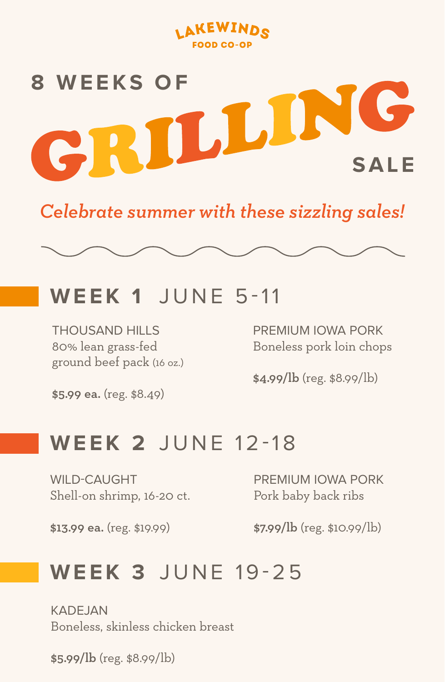



*Celebrate summer with these sizzling sales!*

### **WEEK 1** JUNE 5-11

THOUSAND HILLS 80% lean grass-fed ground beef pack (16 oz.)

\$5.99 ea. (reg. \$8.49)

PREMIUM IOWA PORK Boneless pork loin chops

\$4.99/lb (reg. \$8.99/lb)

#### **WEEK 2** JUNE 12-18

WILD-CAUGHT Shell-on shrimp, 16-20 ct.

PREMIUM IOWA PORK Pork baby back ribs

\$13.99 ea. (reg. \$19.99)

\$7.99/lb (reg. \$10.99/lb)

## **WEEK 3** JUNE 19-25

KADE IAN Boneless, skinless chicken breast

\$5.99/lb (reg. \$8.99/lb)